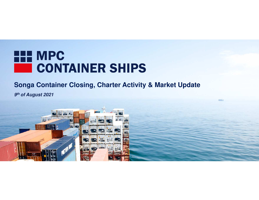

**9th of August 2021**

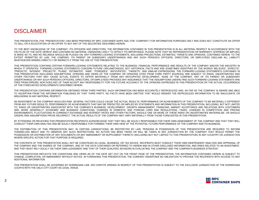### DISCLAIMER

THIS PRESENTATION (THE "PRESENTATION") HAS BEEN PREPARED BY MPC CONTAINER SHIPS ASA (THE "COMPANY") FOR INFORMATION PURPOSES ONLY AND DOES NOT CONSTITUTE AN OFFERTO SELL OR A SOLICITATION OF AN OFFER TO BUY ANY OF THE SECURITIES DESCRIBED HEREIN.

TO THE BEST KNOWLEDGE OF THE COMPANY, ITS OFFICERS AND DIRECTORS, THE INFORMATION CONTAINED IN THIS PRESENTATION IS IN ALL MATERIAL RESPECT IN ACCORDANCE WITH THE FACTS AS OF THE DATE HEREOF AND CONTAINS NO MATERIAL OMISSIONS LIKELY TO AFFECT ITS IMPORTANCE. PLEASE NOTE THAT NO REPRESENTATION OR WARRANTY (EXPRESS OR IMPLIED) IS MADE AS TO, AND NO RELIANCE SHOULD BE PLACED ON, ANY FORWARD-LOOKING STATEMENTS, INCLUDING PROJECTIONS, ESTIMATES, TARGETS AND OPINIONS, CONTAINED HEREIN. TO THE EXTENT PERMITTED BY LAW, THE COMPANY, ITS PARENT OR SUBSIDIARY UNDERTAKINGS AND ANY SUCH PERSON'S OFFICERS, DIRECTORS, OR EMPLOYEES DISCLAIM ALL LIABILITYWHATSOEVER ARISING DIRECTLY OR INDIRECTLY FROM THE USE OF THIS PRESENTATION.

THIS PRESENTATION CONTAINS CERTAIN FORWARD-LOOKING STATEMENTS RELATING TO THE BUSINESS, FINANCIAL PERFORMANCE AND RESULTS OF THE COMPANY AND/OR THE INDUSTRY IN WHICH IT OPERATES. FORWARD-LOOKING STATEMENTS CONCERN FUTURE CIRCUMSTANCES, NOT HISTORICAL FACTS AND ARE SOMETIMES IDENTIFIED BY THE WORDS "BELIEVES", EXPECTS", "PREDICTS", "INTENDS", "PROJECTS", "PLANS", "ESTIMATES", "AND SIMILAR EXPRESSIONS", "AND SIMILAR EXPRESSIONS. THE FORMARD-LOOKING STATE ONLY INTENDED IN THE FORMARD IN THE FORMATION OF THE FORMARD-LOOKING STATEMENTS CONTAI THIS PRESENTATION (INCLUDING ASSUMPTIONS, OPINIONS AND VIEWS OF THE COMPANY OR OPINIONS CITED FROM THIRD PARTY SOURCES) ARE SUBJECT TO RISKS, UNCERTAINTIES AND OTHER FACTORS THAT MAY CAUSE ACTUAL EVENTS TO DIFFER MATERIALLY FROM ANY ANTICIPATED DEVELOPMENT. NONE OF THE COMPANY, ANY OF ITS PARENT OR SUBSIDIARY UNDERTAKINGS OR ANY SUCH PERSON'S OFFICERS, DIRECTORS, OR EMPLOYEES PROVIDES ANY ASSURANCE THAT THE ASSUMPTIONS UNDERLYING SUCH FORWARD-LOOKING STATEMENTS AREFREE FROM ERRORS, NOR DOES ANY OF THEM ACCEPT ANY RESPONSIBILITY FOR THE FUTURE ACCURACY OF THE OPINIONS EXPRESSED IN THIS PRESENTATION OR THE ACTUAL OCCURRENCE<br>EREE IF CON ERRORS, NOR LOBMANY OF THEM ACCEPT ANY RESPONSIBI OF THE FORECASTED DEVELOPMENTS DESCRIBED HEREIN.

THE PRESENTATION CONTAINS INFORMATION OBTAINED FROM THIRD PARTIES. SUCH INFORMATION AND TECHNOLOGICAL PRESENTATION OBTAINED AND AS FAR AS FAR AS THE COMPANY IS AWARE AND A COMPANY IS A WARRALD TO BE COMPANY IS A WARRALD TO TO ASCERTAIN FROM THE INFORMATION PUBLISHED BY THAT THIRD PARTY, NO FACTS HAVE BEEN OMITTED THAT WOULD RENDER THE REPRODUCED INFORMATION TO BE INACCURATE ORMISLEADING IN ANY MATERIAL RESPECT.

AN INVESTMENT IN THE COMPANY INVOLVES RISK. SEVERAL FACTORS COULD CAUSE THE ACTUAL RESULTS, PERFORMANCE OR ACHIEVEMENTS OF THE COMPANY TO BE MATERIALLY DIFFERENTS. FROM ANY FUTURE RESULTS, PERFORMANCE OR ACHIEVEMENTS THAT MAY BE PREDICTED OR IMPLIED BY STATEMENTS AND INFORMATION IN THIS PRESENTATION, INCLUDING, BUT NOT LIMITED TO, RISKS OR UNCERTAINTIES ASSOCIATED WITH THE COMPANY'S BUSINESS, DEVELOPMENT, GROWTH MANAGEMENT, FINANCING, MARKET ACCEPTANCE AND RELATIONS WITH CUSTOMERS AND, MORE GENERALLY, ECONOMIC AND BUSINESS CONDITIONS, CHANGES IN DOMESTIC AND FOREIGN LAWS AND REGULATIONS, TAXES, CHANGES IN COMPETITION AND PRICING ENVIRONMENTS, FLUCTUATIONS IN CURRENCY EXCHANGE AND INTEREST RATES AND OTHER FACTORS. SHOULD ONE OR MORE OF THESE RISKS OR UNCERTAINTIES MATERIALISE, OR SHOULDUNDERLYING ASSUMPTIONS PROVE INCORRECT, THE ACTUAL RESULTS OF THE COMPANY MAY VARY MATERIALLY FROM THOSE FORECASTED IN THIS PRESENTATION.

BY ATTENDING OR RECEIVING THIS PRESENTATION RECIPIENTS ACKNOWLEDGE THAT THEY WILL BE SOLELY RESPONSIBLE FOR THEIR OWN ASSESSMENT OF THE COMPANY AND THAT THEY WILLCONDUCT THEIR OWN ANALYSIS AND BE SOLELY RESPONSIBLE FOR FORMING THEIR OWN VIEW OF THE POTENTIAL FUTURE PERFORMANCE OF THE COMPANY AND ITS BUSINESS.

THE DISTRIBUTION OF THIS PRESENTATION MAY, IN CERTAIN JURISDICTIONS, BE RESTRICTED BY LAW. PERSONS IN POSSESSION OF THIS PRESENTATION ARE REQUIRED TO INFORMTHEMSELVES ABOUT AND TO OBSERVE ANY SUCH RESTRICTIONS. NO ACTION HAS BEEN TAKEN OR WILL BE TAKEN IN ANY JURISDICTION BY THE COMPANY THAT WOULD PERMITTION POSSESSION OR DISTRIBUTION OF ANY DOCUMENTS OR ANY AMENDMENT OR SUPPLEMENT THERETO (INCLUDING BUT NOT LIMITED TO THIS PRESENTATION) IN ANY COUNTRY OR JURISDICTIONWHERE SPECIFIC ACTION FOR THAT PURPOSE IS REQUIRED.

THE CONTENTS OF THIS PRESENTATION SHALL NOT BE CONSTRUED AS LEGAL, BUSINESS, OR TAX ADVICE. RECIPIENTS MUST CONDUCT THEIR OWN INDEPENDENT ANALYSIS AND APPRAISAL OF THE COMPANY AND THE SHARES OF THE COMPANY, AND OF THE DATA CONTAINED OR REFERRED TO HEREIN AND IN OTHER DISCLOSED INFORMATION, AND RISKS RELATED TO AN INVESTMENT, AND THEY MUST RELY SOLELY ON THEIR OWN JUDGEMENT AND THAT OF THEIR QUALIFIED ADVISORS IN EVALUATING THE COMPANY AND THE COMPANY'S BUSINESS STRATEGY.

THIS PRESENTATION REFLECTS THE CONDITIONS AND VIEWS AS OF THE DATE SET OUT ON THE FRONT PAGE OF THE PRESENTATION. THE INFORMATION CONTAINED HEREIN IS SUBJECT TO CHANGE, COMPLETION, OR AMENDMENT WITHOUT NOTICE. IN FURNISHING THIS PRESENTATION, THE COMPANY UNDERTAKE NO OBLIGATION TO PROVIDE THE RECIPIENTS WITH ACCESS TO ANYADDITIONAL INFORMATION.

THIS PRESENTATION SHALL BE GOVERNED BY NORWEGIAN LAW. ANY DISPUTE ARISING IN RESPECT OF THIS PRESENTATION IS SUBJECT TO THE EXCLUSIVE JURISDICTION OF THE NORWEGIANCOURTS WITH THE OSLO CITY COURT AS LEGAL VENUE.

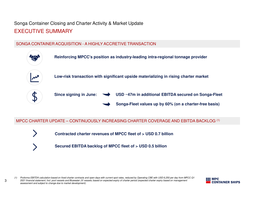## Songa Container Closing and Charter Activity & Market UpdateEXECUTIVE SUMMARY

### SONGA CONTAINER ACQUISITION - A HIGHLY ACCRETIVE TRANSACTION



### MPCC CHARTER UPDATE – CONTINUOUSLY INCREASING CHARTER COVERAGE AND EBITDA BACKLOG (1)

**Contracted charter revenues of MPCC fleet of > USD 0.7 billion**

**Secured EBITDA backlog of MPCC fleet of > USD 0.5 billion**

*(1) Proforma EBITDA calculation based on fixed charter contracts and open days with current spot rates, reduced by Operating CBE with USD 6,250 per day from MPCC Q1 2021 financial statement; Incl. pool vessels and Bluewater JV vessels; based on expected expiry of charter period (expected charter expiry based on management assessment and subject to change due to market development).*

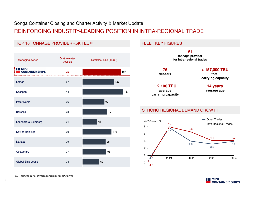REINFORCING INDUSTRY-LEADING POSITION IN INTRA-REGIONAL TRADE

## TOP 10 TONNAGE PROVIDER <5K TEU (1)

| Managing owner                       | On-the-water<br>vessels | Total fleet size (TEUk) |                     |
|--------------------------------------|-------------------------|-------------------------|---------------------|
| <b>THE MPC<br/>Executainer Ships</b> | 75                      | 157                     |                     |
| Lomar                                | 57                      | 129                     |                     |
| Seaspan                              | 44                      | 167                     |                     |
| Peter Dohle                          | 36                      | 90                      |                     |
| <b>Borealis</b>                      | 33                      | 101                     | S                   |
| Leonhard & Blumberg                  | 31                      | 61                      | Y<br>8              |
| Navios Holdings                      | 30                      | 119                     | 6                   |
| Danaos                               | 29                      | 95                      | 4                   |
| Costamare                            | 27                      | 98                      | $\overline{c}$<br>0 |
| Global Ship Lease                    | 24                      | 69                      | $-2$                |

#### FLEET KEY FIGURES



#### STRONG REGIONAL DEMAND GROWTH





*(1) Ranked by no. of vessels; operator not considered*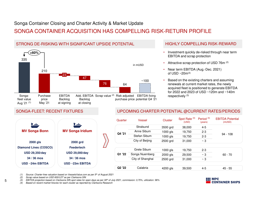STRONG DE-RISKING WITH SIGNIFICANT UPSIDE POTENTIAL

## SONGA CONTAINER ACQUISITION HAS COMPELLING RISK-RETURN PROFILE

#### 33521064~1004776Add. EBITDA Scrap value<sup>(2)</sup> Risk adjusted EBITDA fixing Backlog at closingSongafleet value Aug '21 (1) Purchase price May '21purchase price potential Q4 '2123EBITDA Backlog at signing**+60%**in mUSD

### HIGHLY COMPELLING RISK-REWARD

- • Investment quickly de-risked through near term EBITDA and scrap protection
- Attractive scrap protection of USD 76m (2)
- Near term EBITDA (Aug.-Dec. 2021) of USD  $~20m^{(3)}$
- • Based on the existing charters and assuming renewals at current market rates, the newly acquired fleet is positioned to generate EBITDA for 2022 and 2023 of USD ~120m and ~140m respectively (3)

### SONGA-FLEET: RECENT FIXTURES



### UPCOMING CHARTER POTENTIAL @CURRENT RATES/PERIODS

| Quarter                        | Vessel           | Cluster  | Spot Rate <sup>(4)</sup><br>(USD) | Period $(4)$<br>(years) | <b>EBITDA Potential</b><br>(mUSD) |
|--------------------------------|------------------|----------|-----------------------------------|-------------------------|-----------------------------------|
|                                | Stralsund        | 3500 grd | 38,000                            | $4 - 5$                 |                                   |
| Q4 '21                         | Anne Sibum       | 1000 als | 19,750                            | $2 - 3$                 |                                   |
|                                | Stefan Sibum     | 1000 als | 19,750                            | $2 - 3$                 | $94 - 108$                        |
|                                | City of Beijing  | 2500 grd | 31,000                            | $~\sim$ 3               |                                   |
|                                |                  |          |                                   |                         |                                   |
|                                | Grete Sibum      | 1000 als | 19.750                            | $2 - 3$                 |                                   |
| Q1 '22                         | Songa Nuernberg  | 2000 gls | 29,500                            | $~\sim$ 3               | $60 - 70$                         |
|                                | City of Shanghai | 2500 grd | 31,000                            | $~\sim$ 3               |                                   |
| Q <sub>2</sub> '2 <sub>2</sub> | Calabria         | 4200 gls | 39,500                            | $4 - 5$                 | 45 - 55                           |

*(1) Source: Charter-free valuation based on VesselsValue.com as per 5th of August 2021*

*(2) Scrap value based on USD 600/LDT as per Clarksons SIN*

*(3) EBITDA projection based on Clarksons SIN spot rates for open days as per 30th of July 2021, commission: 3,75%, utilization: 96%*

*(4) Based on recent market fixtures for each cluster as reported by Clarksons Research* 

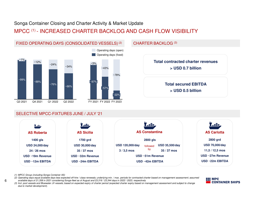### MPCC (1) - INCREASED CHARTER BACKLOG AND CASH FLOW VISIBILITY



### FIXED OPERATING DAYS (CONSOLIDATED VESSELS)(2)



**> USD 0.5 billion**

### SELECTIVE MPCC-FIXTURES JUNE / JULY '21



- *(1) MPCC Group (including Songa Container AS)*
- *(2) Operating days equal available days less expected off-hire / class-renewals; underlying min. / max. periods for contracted charter based on management assessment; assumed available days of 21,358 in 2021 considering Songa-fleet as of August and 23,316 / 23,344 days in 2022 / 2023, respectively*
- *(3) Incl. pool vessels and Bluewater JV vessels; based on expected expiry of charter period (expected charter expiry based on management assessment and subject to change due to market development).*

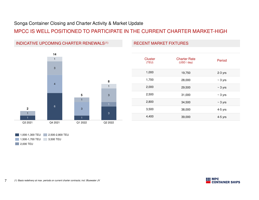### MPCC IS WELL POSITIONED TO PARTICIPATE IN THE CURRENT CHARTER MARKET-HIGH



| Cluster<br>(TEU) | <b>Charter Rate</b><br>(USD / day) | Period       |
|------------------|------------------------------------|--------------|
| 1,000            | 19,750                             | $2-3$ yrs    |
| 1,700            | 28,000                             | $\sim$ 3 yrs |
| 2,000            | 29,500                             | $\sim$ 3 yrs |
| 2,500            | 31,000                             | $\sim$ 3 yrs |
| 2,800            | 34,500                             | $\sim$ 3 yrs |
| 3,500            | 38,000                             | $4-5$ yrs    |
| 4,400            | 39,000                             | $4-5$ yrs    |
|                  |                                    |              |

**RECENT MARKET FIXTURES** 

| $\blacksquare$ 1.000-1.300 TEU | 2,500-2,800 TEU |
|--------------------------------|-----------------|
| 1,500-1,700 TEU                | 3.500 TEU       |
| 2,000 TEU                      |                 |

**THE MPC<br>Executainer Ships**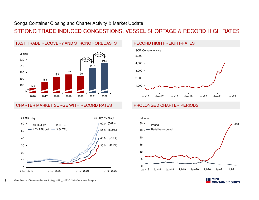### STRONG TRADE INDUCED CONGESTIONS, VESSEL SHORTAGE & RECORD HIGH RATES



FAST TRADE RECOVERY AND STRONG FORECASTS

#### CHARTER MARKET SURGE WITH RECORD RATES



#### RECORD HIGH FREIGHT-RATES



### PROLONGED CHARTER PERIODS



**MPC** 

**CONTAINER SHIPS**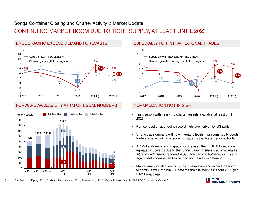## CONTINUING MARKET BOOM DUE TO TIGHT SUPPLY, AT LEAST UNTIL 2023



### FORWARD AVAILABILITY AT 1/3 OF USUAL NUMBERS



#### ESPECIALLY FOR INTRA-REGIONAL TRADES



#### NORMALIZATION NOT IN SIGHT

- Tight supply with nearly no charter vessels available, at least until 2023
- Port congestion at ongoing record high level, driven by US ports
- • Strong trade demand with low inventory levels, high commodity goods trade and a rethinking of sourcing patterns that foster regional trade.
- AP Moller-Maersk and Hapag-Lloyd revised their EBITDA guidance repeatedly upwards due to the *"continuation of the exceptional market situation with strong rebound in demand causing bottlenecks […] and equipment shortage"* and expect no normalization before 2022.
- • Market analysts also see no signs of relaxation and expect the boom to continue well into 2022. Some meanwhile even talk about 2023 (e.g. DAV Panalpina).

*Data Source: MSI (Aug. 2021); Clarksons Research (Aug. 2021); Braemar (Aug. 2021); Harper Petersen (Aug. 2021); MPCC Calculation and Analysis*

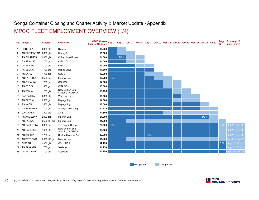## MPCC FLEET EMPLOYMENT OVERVIEW (1/4)Songa Container Closing and Charter Activity & Market Update - Appendix

|                | No. Vessel             | <b>Cluster</b> | <b>Charterer</b>                   | MPCC Current<br>Aug. 21 Sep-21 Oct-21 Nov-21 Dec-21 Jan-22 Feb-22 Mar-22 Apr-22 May-22 Jun-22 Jul-22<br>Fixture (USD/day) |                   |                   |  |                   |  |  |                   | Aug-<br>22        | Post Aug-22<br>(min. / max.) |
|----------------|------------------------|----------------|------------------------------------|---------------------------------------------------------------------------------------------------------------------------|-------------------|-------------------|--|-------------------|--|--|-------------------|-------------------|------------------------------|
|                | CORDELIA               | 2800 gls       | Sinokor                            | 10.000                                                                                                                    |                   |                   |  |                   |  |  |                   |                   |                              |
| $\overline{2}$ | AS CLEMENTINA 2800 gls |                | Heung-A                            | 10.000                                                                                                                    |                   |                   |  |                   |  |  |                   |                   |                              |
| 3              | AS COLUMBIA            | 2800 gls       | <b>China United Lines</b>          | 101.000                                                                                                                   |                   | DD <sup>(1)</sup> |  |                   |  |  |                   |                   |                              |
| 4              | <b>AS SEVILLIA</b>     | 1700 grd       | <b>CMA CGM</b>                     | 12.000                                                                                                                    |                   |                   |  |                   |  |  |                   |                   |                              |
| 5              | AS SVENJA              | 1700 grd       | CMA CGM                            | 13.000                                                                                                                    |                   |                   |  |                   |  |  |                   |                   |                              |
| 6              | AS SELINA              | 1700 grd       | Hapag-Lloyd                        | 11.800                                                                                                                    |                   |                   |  |                   |  |  |                   |                   |                              |
| $7^{\circ}$    | AS SARA                | 1700 grd       | <b>OOCL</b>                        | 13.000                                                                                                                    |                   |                   |  |                   |  |  |                   |                   |                              |
| 8              | <b>AS PATRICIA</b>     | 2500 grd       | Maersk Line                        | 15.280                                                                                                                    | DD <sup>(1)</sup> |                   |  |                   |  |  |                   |                   |                              |
| 9              | AS SUSANNA             | 1700 grd       | COSCO                              | 14.000                                                                                                                    |                   |                   |  |                   |  |  |                   |                   |                              |
|                | 10 AS FREYA            | 1300 grd       | CMA CGM                            | 10.500                                                                                                                    |                   |                   |  |                   |  |  |                   |                   |                              |
|                | 11 AS FENJA            | $1200$ gls     | New Golden Sea<br>Shipping / COSCO | 13.450                                                                                                                    |                   |                   |  |                   |  |  |                   |                   |                              |
|                | 12 CARPATHIA           | 2800 gls       | Wan Hai Lines                      | 16.000                                                                                                                    |                   |                   |  |                   |  |  |                   |                   |                              |
| 13             | <b>AS PATRIA</b>       | 2500 grd       | Hapag-Lloyd                        | 14.500                                                                                                                    |                   |                   |  |                   |  |  |                   |                   |                              |
|                | 14 AS NADIA            | 3500 gls       | Hapag-Lloyd                        | 18.500                                                                                                                    |                   |                   |  |                   |  |  |                   |                   |                              |
|                | 15 AS SERAFINA         | 1700 grd       | Shanghai Jin Jiang                 | 14.175                                                                                                                    |                   |                   |  |                   |  |  |                   |                   |                              |
| 16             | CARDONIA               | 2800 gls       | <b>ZISS</b>                        | 11.500                                                                                                                    |                   |                   |  |                   |  |  |                   |                   |                              |
| 17             | AS ANGELINA            | 2000 grd       | Maersk Line                        | 21.000                                                                                                                    |                   |                   |  |                   |  |  | DD <sup>(1)</sup> |                   |                              |
|                | 18 AS PALINA           | 2500 HR grd    | Maersk Line                        | 11.000                                                                                                                    |                   |                   |  |                   |  |  |                   |                   |                              |
| 19             | AS CARLOTTA            | 2800 grd       | The Pasha Group                    | 70,000                                                                                                                    | DD <sup>(1)</sup> |                   |  |                   |  |  |                   | DD <sup>(1)</sup> | Jul-22 / Aug-22              |
|                | 20 AS RAFAELA          | 1400 gls       | New Golden Sea<br>Shipping / COSCO | 18.500                                                                                                                    |                   |                   |  |                   |  |  |                   |                   | Jul-22 / Sep-22              |
| 21             | AS SOPHIA              | 1700 grd       | Sealand Maersk Asia                | 33.000                                                                                                                    |                   |                   |  | DD <sup>(1)</sup> |  |  |                   |                   | Jul-22 / Sep-22              |
|                | 22 AS PETRONIA         | 2500 HR grd    | Maersk Line                        | 11.000                                                                                                                    |                   |                   |  |                   |  |  |                   |                   | Sep-21 / Sep-22              |
| 23             | <b>CIMBRIA</b>         | 2800 gls       | GSL / ZISS                         | 17.750                                                                                                                    |                   |                   |  |                   |  |  |                   | DD <sup>(1)</sup> | Aug-22 / Oct-22              |
|                | 24 AS SAVANNA          | 1700 grd       | Seaboard                           | 11.750                                                                                                                    |                   |                   |  |                   |  |  |                   |                   | Aug-22 / Oct-22              |
|                | 25 AS SAMANTA          | 1700 grd       | Seaboard                           | 11.750                                                                                                                    |                   |                   |  |                   |  |  |                   |                   | Aug-22 / Oct-22              |

Min. period Max. period

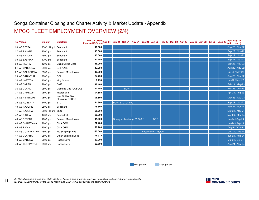## MPCC FLEET EMPLOYMENT OVERVIEW (2/4)Songa Container Closing and Charter Activity & Market Update - Appendix

| <b>No. Vessel</b> | <b>Cluster</b>       | <b>Charterer</b>                   | MPCC Current<br>1992 - May-22 Jun-22 Jul-22 Aug-22 Aug-22 Mar-22 Mar-22 Apr-22 May-22 Jun-22 Jul-22 Aug-22<br><b>Fixture (USD/day)</b> |  |                                  |  |                      |  |  |  | Post Aug-22<br>(min. / max.) |
|-------------------|----------------------|------------------------------------|----------------------------------------------------------------------------------------------------------------------------------------|--|----------------------------------|--|----------------------|--|--|--|------------------------------|
| 26 AS PETRA       | 2500 HR grd Seaboard |                                    | 10.000                                                                                                                                 |  |                                  |  |                      |  |  |  | Sep-22 / Nov-22              |
| 27 AS PALATIA     | 2500 grd             | Seaboard                           | 13.000                                                                                                                                 |  |                                  |  |                      |  |  |  | Sep-22 / Nov-22              |
| 28 AS PETULIA     | 2500 grd             | Seaboard                           | 13.000                                                                                                                                 |  |                                  |  |                      |  |  |  | Sep-22 / Nov-22              |
| 39 AS SABRINA     | 1700 grd             | Seaboard                           | 11.750                                                                                                                                 |  |                                  |  |                      |  |  |  | Sep-22 / Nov-22              |
| 30 AS FLORA       | 1200 gls             | <b>China United Lines</b>          | 16.900                                                                                                                                 |  |                                  |  |                      |  |  |  | Sep-22 / Nov-22              |
| 31 AS CAROLINA    | 2800 gls             | GSL / ZISS                         | 17.750                                                                                                                                 |  |                                  |  |                      |  |  |  | Aug-22 / Nov-22              |
| 32 AS CALIFORNIA  | 2800 gls             | Sealand Maersk Asia                | 18.000                                                                                                                                 |  |                                  |  |                      |  |  |  | <b>Jul-22 / Nov-22</b>       |
| 33 AS CARINTHIA   | 2800 gls             | <b>RCL</b>                         | 24.750                                                                                                                                 |  |                                  |  |                      |  |  |  | Aug-22 / Nov-22              |
| 34 AS LAETITIA    | 1000 grd             | King Ocean                         | 9.250                                                                                                                                  |  |                                  |  |                      |  |  |  | <b>Jul-22 / Nov-22</b>       |
| 35 AS CYPRIA      | 2800 gls             | <b>ONE</b>                         | 18.400                                                                                                                                 |  |                                  |  |                      |  |  |  | Feb-23 / May-23              |
| 36 AS CLARA       | 2800 gls             | Diamond Line (COSCO)               | 24.750                                                                                                                                 |  | DD <sup>(1)</sup>                |  |                      |  |  |  | Mar-23 / Jun-23              |
| 37 AS CAMELLIA    | 2800 gls             | Maersk Line                        | 24.550                                                                                                                                 |  |                                  |  |                      |  |  |  | Apr-23 / Aug-23              |
| 38 AS PENELOPE    | 2500 gls             | New Golden Sea<br>Shipping / COSCO | 26.500                                                                                                                                 |  |                                  |  |                      |  |  |  | May-23 / Aug-23              |
| 39 AS ROBERTA     | 1400 gls             | <b>BTL</b>                         | 11.300                                                                                                                                 |  | DD <sup>(1)</sup> ; BTL / 24,000 |  |                      |  |  |  | Sep-23 / Nov-23              |
| 40 AS PAULINE     | 2500 gls             | Seaboard                           | 25.500                                                                                                                                 |  |                                  |  |                      |  |  |  | Feb-24 / Mar-24              |
| 41 AS PAULINA     | 2500 HR grd MSC      |                                    | 26.750                                                                                                                                 |  |                                  |  |                      |  |  |  | Mar-24 / May-24              |
| 42 AS SICILIA     | 1700 grd             | Feedertech                         | 30.000                                                                                                                                 |  |                                  |  |                      |  |  |  | Mar-24 / May-24              |
| 43 AS SERENA      | 1700 grd             | Sealand Maersk Asia                | 11.500                                                                                                                                 |  | Shanghai Jin Jiang / 60,000 (2)  |  | DD <sup>(1)</sup>    |  |  |  | Jul-24 / Sep-24              |
| 44 AS CHRISTIANA  | 2800 grd             | CMA CGM                            | 32.400                                                                                                                                 |  |                                  |  |                      |  |  |  | Jul-24 / Sep-24              |
| 45 AS PAOLA       | 2500 grd             | CMA CGM                            | 28.900                                                                                                                                 |  |                                  |  |                      |  |  |  | Aug-24 / Oct-24              |
| 46 AS CONSTANTINA | 2800 gls             | <b>Bal Shipping Lines</b>          | 120.000                                                                                                                                |  |                                  |  | Feedertech $-35,500$ |  |  |  | Oct-24 / Dec-24              |
| 47 AS CLARITA     | 2800 gls             | Oman Shipping Lines                | 26.975                                                                                                                                 |  |                                  |  |                      |  |  |  | Jun-24 / Aug-24              |
| 48 AS CARELIA     | 2800 gls             | Hapag-Lloyd                        | 33.000                                                                                                                                 |  |                                  |  |                      |  |  |  | Jul-24 / Oct-24              |
| 49 AS CLEOPATRA   | 2800 grd             | Hapag-Lloyd                        | 33.500                                                                                                                                 |  |                                  |  |                      |  |  |  | Aug-24 / Nov-24              |

Min. period

Max. period

(1) Scheduled commencement of dry-docking. Actual timing depends, inter alia, on yard capacity and charter commitments<br>(2) USD 60,000 per day for the 1st 12 month and USD 15,000 per day for the balance period

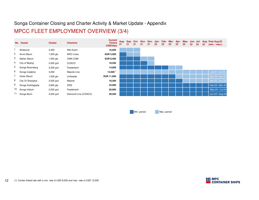## Songa Container Closing and Charter Activity & Market Update - AppendixMPCC FLEET EMPLOYMENT OVERVIEW (3/4)

|                | No. Vessel        | <b>Cluster</b> | <b>Charterer</b>     | <b>Current</b><br><b>Fixture</b><br>(USD/day) | 21 | 21 | 21 | 21 | 21 | Aug- Sep- Oct- Nov- Dec- Jan- Feb- Mar- Apr-<br>22 | 22 | 22 | 22 | 22 | 22 | 22 | 22 | May- Jun- Jul- Aug- Post Aug-22<br>(min. / max.) |
|----------------|-------------------|----------------|----------------------|-----------------------------------------------|----|----|----|----|----|----------------------------------------------------|----|----|----|----|----|----|----|--------------------------------------------------|
|                | Stralsund         | 3,400          | Nile Dutch           | 10,500                                        |    |    |    |    |    |                                                    |    |    |    |    |    |    |    |                                                  |
| $\overline{c}$ | Anne Sibum        | $1,000$ gls    | <b>WEC Lines</b>     | <b>EUR 5,500</b>                              |    |    |    |    |    |                                                    |    |    |    |    |    |    |    |                                                  |
| 3              | Stefan Sibum      | $1,000$ gls    | CMA-CGM              | <b>EUR 8,400</b>                              |    |    |    |    |    |                                                    |    |    |    |    |    |    |    |                                                  |
| 4              | City of Beijing   | 2,500 grd      | COSCO                | 18,250                                        |    |    |    |    |    |                                                    |    |    |    |    |    |    |    |                                                  |
| 5              | Songa Nuernberg   | 2,200 grd      | Feedertech           | 14,000                                        |    |    |    |    |    |                                                    |    |    |    |    |    |    |    |                                                  |
| 6              | Songa Calabria    | 4,250          | Maersk Line          | 13,500 <sup>1</sup>                           |    |    |    |    |    |                                                    |    |    |    |    |    |    |    | Jul-21 / Jul-22                                  |
|                | Grete Sibum       | $1,000$ gls    | Unifeeder            | EUR 11,950                                    |    |    |    |    |    |                                                    |    |    |    |    |    |    |    | Apr-22 / Jun-22                                  |
| 8              | City Of Shanghai  | 2,500 grd      | Maersk               | 18,300                                        |    |    |    |    |    |                                                    |    |    |    |    |    |    |    | Apr-22 / Jun-22                                  |
| 9              | Songa Antofagasta | $2,800$ gls    | <b>ZISS</b>          | 23,500                                        |    |    |    |    |    |                                                    |    |    |    |    |    |    |    | Feb-23 / Mar-23                                  |
| 10             | Songa Iridium     | 2,200 grd      | Feedertech           | 29,000                                        |    |    |    |    |    |                                                    |    |    |    |    |    |    |    | May-24 / Jul-24                                  |
| 11             | Songa Bonn        | 2,200 grd      | Diamond Line (COSCO) | 29,350                                        |    |    |    |    |    |                                                    |    |    |    |    |    |    |    | Jun-24 / Aug-24                                  |

Min. period

Max. period

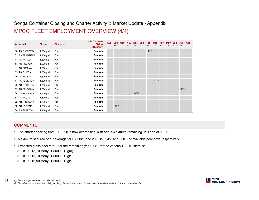## MPCC FLEET EMPLOYMENT OVERVIEW (4/4)Songa Container Closing and Charter Activity & Market Update - Appendix

| <b>No. Vessel</b> | <b>Cluster</b> | <b>Charterer</b> | <b>MPCC Current</b><br><b>Fixture</b><br>(USD/day) | 21 | 21                | 21 | Aug- Sep- Oct- Nov- Dec- Jan- Feb- Mar- Apr- May- Jun- Jul-<br>21 | 21                | 22 | 22                | 22                | 22 | 22 | 22 | $22 \overline{ }$ | Aug-<br>22 |
|-------------------|----------------|------------------|----------------------------------------------------|----|-------------------|----|-------------------------------------------------------------------|-------------------|----|-------------------|-------------------|----|----|----|-------------------|------------|
| 50 AS FLORETTA    | 1,300 grd      | Pool             | Pool rate                                          |    |                   |    |                                                                   |                   |    | DD <sup>(2)</sup> |                   |    |    |    |                   |            |
| 51 AS FRANZISKA   | 1,300 grd      | Pool             | Pool rate                                          |    |                   |    |                                                                   |                   |    |                   |                   |    |    |    |                   |            |
| 52 AS FATIMA      | $1,300$ gls    | Pool             | Pool rate                                          |    |                   |    |                                                                   |                   |    |                   |                   |    |    |    |                   |            |
| 53 AS ROSALIA     | $1,500$ gls    | Pool             | Pool rate                                          |    |                   |    |                                                                   |                   |    |                   |                   |    |    |    |                   |            |
| 54 AS ROMINA      | $1,500$ gls    | Pool             | Pool rate                                          |    |                   |    |                                                                   |                   |    |                   |                   |    |    |    |                   |            |
| 55 AS FILIPPA     | 1,300 grd      | Pool             | Pool rate                                          |    |                   |    |                                                                   |                   |    |                   |                   |    |    |    |                   |            |
| 56 AS FELICIA     | 1,300 grd      | Pool             | Pool rate                                          |    |                   |    |                                                                   |                   |    |                   |                   |    |    |    |                   |            |
| 57 AS FEDERICA    | 1,300 grd      | Pool             | Pool rate                                          |    |                   |    |                                                                   |                   |    |                   | DD <sup>(2)</sup> |    |    |    |                   |            |
| 58 AS FIORELLA    | 1,300 grd      | Pool             | Pool rate                                          |    |                   |    |                                                                   |                   |    |                   |                   |    |    |    |                   |            |
| 59 AS FAUSTINA    | 1,300 grd      | Pool             | Pool rate                                          |    |                   |    |                                                                   |                   |    |                   |                   |    |    |    | DD <sup>(2)</sup> |            |
| 60 AS RICCARDA    | $1,500$ gls    | Pool             | Pool rate                                          |    |                   |    |                                                                   | DD <sup>(2)</sup> |    |                   |                   |    |    |    |                   |            |
| 61 AS RAGNA       | $1,500$ gls    | Pool             | Pool rate                                          |    |                   |    |                                                                   |                   |    |                   |                   |    |    |    |                   |            |
| 62 AS FLORIANA    | $1,300$ gls    | Pool             | Pool rate                                          |    |                   |    |                                                                   |                   |    |                   |                   |    |    |    |                   |            |
| 63 AS FABIANA     | 1,300 grd      | Pool             | Pool rate                                          |    | DD <sup>(2)</sup> |    |                                                                   |                   |    |                   |                   |    |    |    |                   |            |
| 64 AS FABRIZIA    | 1,300 grd      | Pool             | Pool rate                                          |    |                   |    |                                                                   |                   |    |                   |                   |    |    |    |                   |            |

#### **COMMENTS**

- The charter backlog from FY 2020 is now decreasing, with about 4 fixtures remaining until end of 2021
- Maximum secured pool coverage for FY 2021 and 2022 is ~94% and ~50% of available pool days respectively
- Expected gross pool rate<sup>(1)</sup> for the remaining year 2021 for the various TEU clusters is:
	- ► USD ~15,100/day (1,300 TEU grd)
	- USD ~15,100/day (1,300 TEU gls)
	- USD ~16,900/day (1,500 TEU gls)